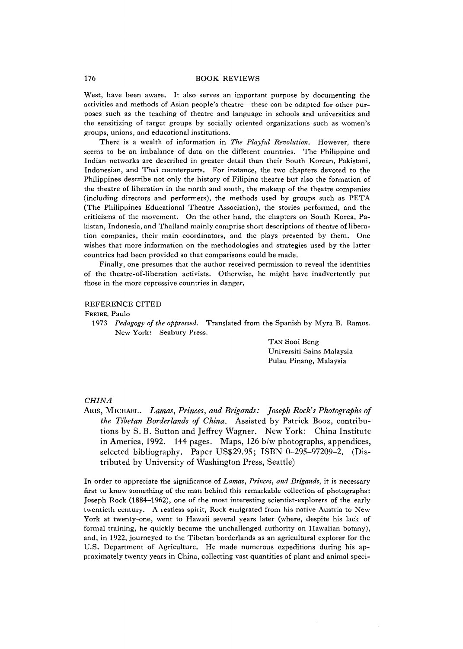# 176 BOOK REVIEWS

West, have been aware. It also serves an important purpose by documenting the activities and methods of Asian people's theatre— these can be adapted for other purposes such as the teaching of theatre and language in schools and universities and the sensitizing of target groups by socially oriented organizations such as women's groups, unions, and educational institutions.

There is a wealth of information in *The Playful Revolution.* However, there seems to be an imbalance of data on the different countries. The Philippine and Indian networks are described in greater detail than their South Korean, Pakistani, Indonesian, and Thai counterparts. For instance, the two chapters devoted to the Philippines describe not only the history of Filipino theatre but also the formation of the theatre of liberation in the north and south, the makeup of the theatre companies (including directors and performers), the methods used by groups such as PETA (The Philippines Educational Theatre Association), the stories performed, and the criticisms of the movement. On the other hand, the chapters on South Korea, Pakistan, Indonesia, and Thailand mainly comprise short descriptions of theatre of liberation companies, their main coordinators, and the plays presented by them. One wishes that more information on the methodologies and strategies used by the latter countries had been provided so that comparisons could be made.

Finally, one presumes that the author received permission to reveal the identities of the theatre-of-liberation activists. Otherwise, he might have inadvertently put those in the more repressive countries in danger.

# REFERENCE CITED

FREIRE, Paulo

1973 *Pedagogy of the oppressed*. Translated from the Spanish by Myra B. Ramos. New York: Seabury Press.

> TAN Sooi Beng Universiti Sains Malaysia Pulau Pinang, Malaysia

### $CHINA$

ARIS, MICHAEL. Lamas, Princes, and Brigands: Joseph Rock's Photographs of *the Tibetan Borderlands of China.* Assisted by Patrick Booz, contributions by S. B. Sutton and Jeffrey Wagner. New York: China Institute in America, 1992. 144 pages. Maps, 126 b/w photographs, appendices, selected bibliography. Paper US\$29.95; ISBN 0-295-97209-2. (Distributed by University of Washington Press, Seattle)

In order to appreciate the significance of *Lamas, Princes, and Brigands,* it is necessary first to know something of the man behind this remarkable collection of photographs: Joseph Rock (1884-1962), one of the most interesting scientist-explorers of the early twentieth century. A restless spirit, Rock emigrated from his native Austria to New York at twenty-one, went to Hawaii several years later (where, despite his lack of formal training, he quickly became the unchallenged authority on Hawaiian botany), and, in 1922, journeyed to the Tibetan borderlands as an agricultural explorer for the U .S. Department of Agriculture. He made numerous expeditions during his approximately twenty years in China, collecting vast quantities of plant and animal speci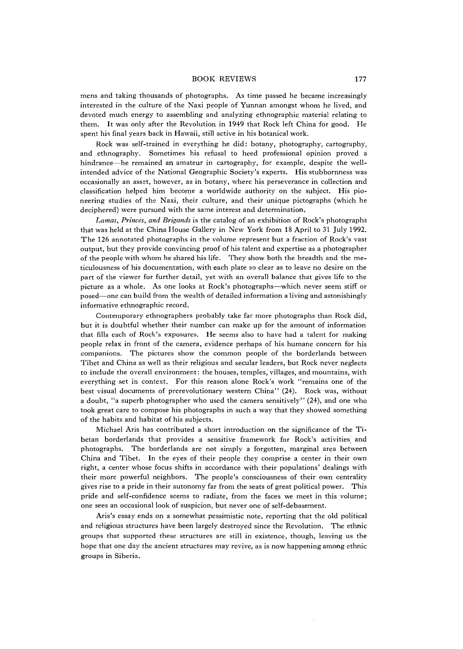#### BOOK REVIEWS 177

mens and taking thousands of photographs. As time passed he became increasingly interested in the culture of the Naxi people of Yunnan amongst whom he lived, and devoted much energy to assembling and analyzing ethnographic material relating to them. It was only after the Revolution in 1949 that Rock left China for good. He spent his final years back in Hawaii, still active in his botanical work.

Rock was self-trained in everything he did: botany, photography, cartography, and ethnography. Sometimes his refusal to heed professional opinion proved a hindrance— he remained an amateur in cartography, for example, despite the wellintended advice of the National Geographic Society's experts. His stubbornness was occasionally an asset, however, as in botany, where his perseverance in collection and classification helped him become a worldwide authority on the subject. His pioneering studies of the Naxi, their culture, and their unique pictographs (which he deciphered) were pursued with the same interest and determination.

*Lamas Princes,and Brigands* is the catalog of an exhibition of Rock's photographs that was held at the China House Gallery in New York from 18 April to 31 July 1992. The 126 annotated photographs in the volume represent but a fraction of Rock's vast output, but they provide convincing proof of his talent and expertise as a photographer of the people with whom he shared his life. They show both the breadth and the meticulousness of his documentation, with each plate so clear as to leave no desire on the part of the viewer for further detail, yet with an overall balance that gives life to the picture as a whole. As one looks at Rock's photographs— which never seem stiff or posed— one can build from the wealth of detailed information a living and astonishingly informative ethnographic record.

Contemporary ethnographers probably take far more photographs than Rock did, but it is doubtful whether their number can make up for the amount of information that fills each of Rock's exposures. He seems also to have had a talent for making people relax in front of the camera, evidence perhaps of his humane concern for his companions. The pictures show the common people of the borderlands between Tibet and China as well as their religious and secular leaders, but Rock never neglects to include the overall environment: the houses, temples, villages, and mountains, with everything set in context. For this reason alone Rock's work "remains one of the best visual documents of prerevolutionary western China" (24). Rock was, without a doubt, "a superb photographer who used the camera sensitively" (24), and one who took great care to compose his photographs in such a way that they showed something of the habits and habitat of his subjects.

Michael Aris has contributed a short introduction on the significance of the Tibetan borderlands that provides a sensitive framework for Rock's activities and photographs. The borderlands are not simply a forgotten, marginal area between China and Tibet. In the eyes of their people they comprise a center in their own right, a center whose focus shifts in accordance with their populations' dealings with their more powerful neighbors. The people's consciousness of their own centrality gives rise to a pride in their autonomy far from the seats of great political power. This pride and self-confidence seems to radiate, from the faces we meet in this volume; one sees an occasional look of suspicion, but never one of self-debasement.

Aris's essay ends on a somewhat pessimistic note, reporting that the old political and religious structures have been largely destroyed since the Revolution. The ethnic groups that supported these structures are still in existence, though, leaving us the hope that one day the ancient structures may revive, as is now happening among ethnic groups in Siberia.